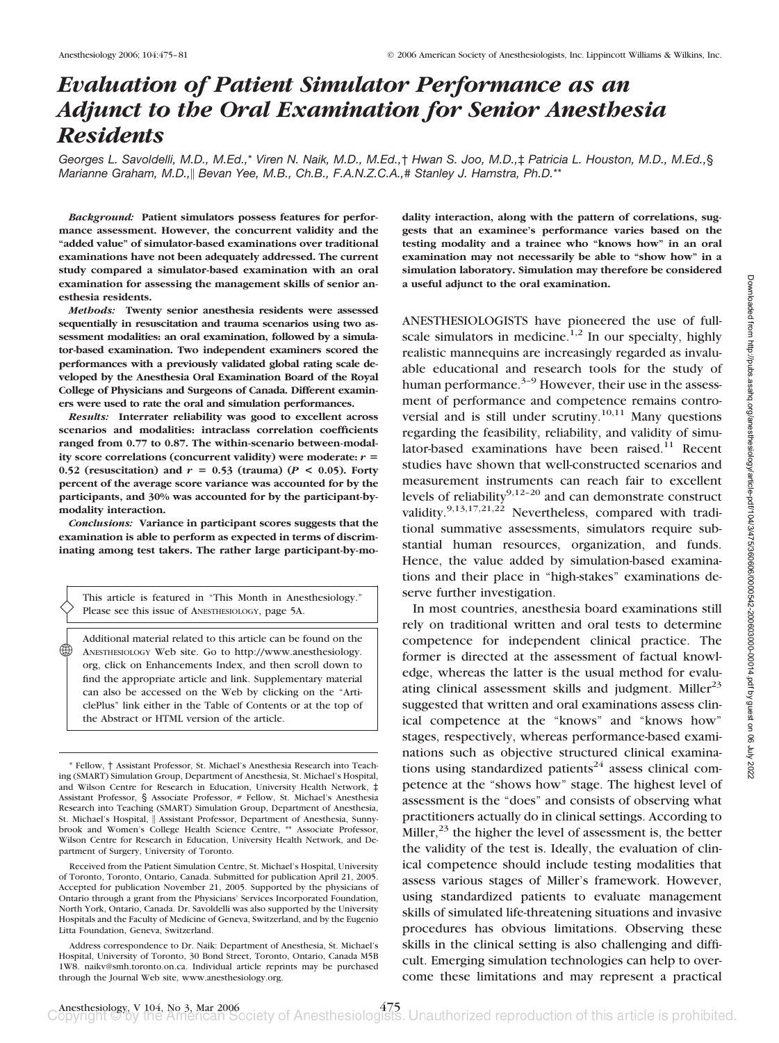# *Evaluation of Patient Simulator Performance as an Adjunct to the Oral Examination for Senior Anesthesia Residents*

*Georges L. Savoldelli, M.D., M.Ed.,*\* *Viren N. Naik, M.D., M.Ed.,*† *Hwan S. Joo, M.D.,*‡ *Patricia L. Houston, M.D., M.Ed.,*§ *Marianne Graham, M.D., Bevan Yee, M.B., Ch.B., F.A.N.Z.C.A.,*# *Stanley J. Hamstra, Ph.D.*\*\*

*Background:* **Patient simulators possess features for performance assessment. However, the concurrent validity and the "added value" of simulator-based examinations over traditional examinations have not been adequately addressed. The current study compared a simulator-based examination with an oral examination for assessing the management skills of senior anesthesia residents.**

*Methods:* **Twenty senior anesthesia residents were assessed sequentially in resuscitation and trauma scenarios using two assessment modalities: an oral examination, followed by a simulator-based examination. Two independent examiners scored the performances with a previously validated global rating scale developed by the Anesthesia Oral Examination Board of the Royal College of Physicians and Surgeons of Canada. Different examiners were used to rate the oral and simulation performances.**

*Results:* **Interrater reliability was good to excellent across scenarios and modalities: intraclass correlation coefficients ranged from 0.77 to 0.87. The within-scenario between-modality score correlations (concurrent validity) were moderate:** *r* 0.52 (resuscitation) and  $r = 0.53$  (trauma) ( $P < 0.05$ ). Forty **percent of the average score variance was accounted for by the participants, and 30% was accounted for by the participant-bymodality interaction.**

*Conclusions:* **Variance in participant scores suggests that the examination is able to perform as expected in terms of discriminating among test takers. The rather large participant-by-mo-**

This article is featured in "This Month in Anesthesiology." Please see this issue of ANESTHESIOLOGY, page 5A.

Additional material related to this article can be found on the ANESTHESIOLOGY Web site. Go to http://www.anesthesiology. org, click on Enhancements Index, and then scroll down to find the appropriate article and link. Supplementary material can also be accessed on the Web by clicking on the "ArticlePlus" link either in the Table of Contents or at the top of the Abstract or HTML version of the article. ♠

**dality interaction, along with the pattern of correlations, suggests that an examinee's performance varies based on the testing modality and a trainee who "knows how" in an oral examination may not necessarily be able to "show how" in a simulation laboratory. Simulation may therefore be considered a useful adjunct to the oral examination.**

ANESTHESIOLOGISTS have pioneered the use of fullscale simulators in medicine.<sup>1,2</sup> In our specialty, highly realistic mannequins are increasingly regarded as invaluable educational and research tools for the study of human performance. $3-9$  However, their use in the assessment of performance and competence remains controversial and is still under scrutiny.<sup>10,11</sup> Many questions regarding the feasibility, reliability, and validity of simulator-based examinations have been raised. $11$  Recent studies have shown that well-constructed scenarios and measurement instruments can reach fair to excellent levels of reliability $9,12-20$  and can demonstrate construct validity.<sup>9,13,17,21,22</sup> Nevertheless, compared with traditional summative assessments, simulators require substantial human resources, organization, and funds. Hence, the value added by simulation-based examinations and their place in "high-stakes" examinations deserve further investigation.

In most countries, anesthesia board examinations still rely on traditional written and oral tests to determine competence for independent clinical practice. The former is directed at the assessment of factual knowledge, whereas the latter is the usual method for evaluating clinical assessment skills and judgment. Miller<sup>23</sup> suggested that written and oral examinations assess clinical competence at the "knows" and "knows how" stages, respectively, whereas performance-based examinations such as objective structured clinical examinations using standardized patients<sup>24</sup> assess clinical competence at the "shows how" stage. The highest level of assessment is the "does" and consists of observing what practitioners actually do in clinical settings. According to Miller, $^{23}$  the higher the level of assessment is, the better the validity of the test is. Ideally, the evaluation of clinical competence should include testing modalities that assess various stages of Miller's framework. However, using standardized patients to evaluate management skills of simulated life-threatening situations and invasive procedures has obvious limitations. Observing these skills in the clinical setting is also challenging and difficult. Emerging simulation technologies can help to overcome these limitations and may represent a practical

<sup>\*</sup> Fellow, † Assistant Professor, St. Michael's Anesthesia Research into Teaching (SMART) Simulation Group, Department of Anesthesia, St. Michael's Hospital, and Wilson Centre for Research in Education, University Health Network, ‡ Assistant Professor, § Associate Professor, # Fellow, St. Michael's Anesthesia Research into Teaching (SMART) Simulation Group, Department of Anesthesia, St. Michael's Hospital, || Assistant Professor, Department of Anesthesia, Sunnybrook and Women's College Health Science Centre, \*\* Associate Professor, Wilson Centre for Research in Education, University Health Network, and Department of Surgery, University of Toronto.

Received from the Patient Simulation Centre, St. Michael's Hospital, University of Toronto, Toronto, Ontario, Canada. Submitted for publication April 21, 2005. Accepted for publication November 21, 2005. Supported by the physicians of Ontario through a grant from the Physicians' Services Incorporated Foundation, North York, Ontario, Canada. Dr. Savoldelli was also supported by the University Hospitals and the Faculty of Medicine of Geneva, Switzerland, and by the Eugenio Litta Foundation, Geneva, Switzerland.

Address correspondence to Dr. Naik: Department of Anesthesia, St. Michael's Hospital, University of Toronto, 30 Bond Street, Toronto, Ontario, Canada M5B 1W8. naikv@smh.toronto.on.ca. Individual article reprints may be purchased through the Journal Web site, www.anesthesiology.org.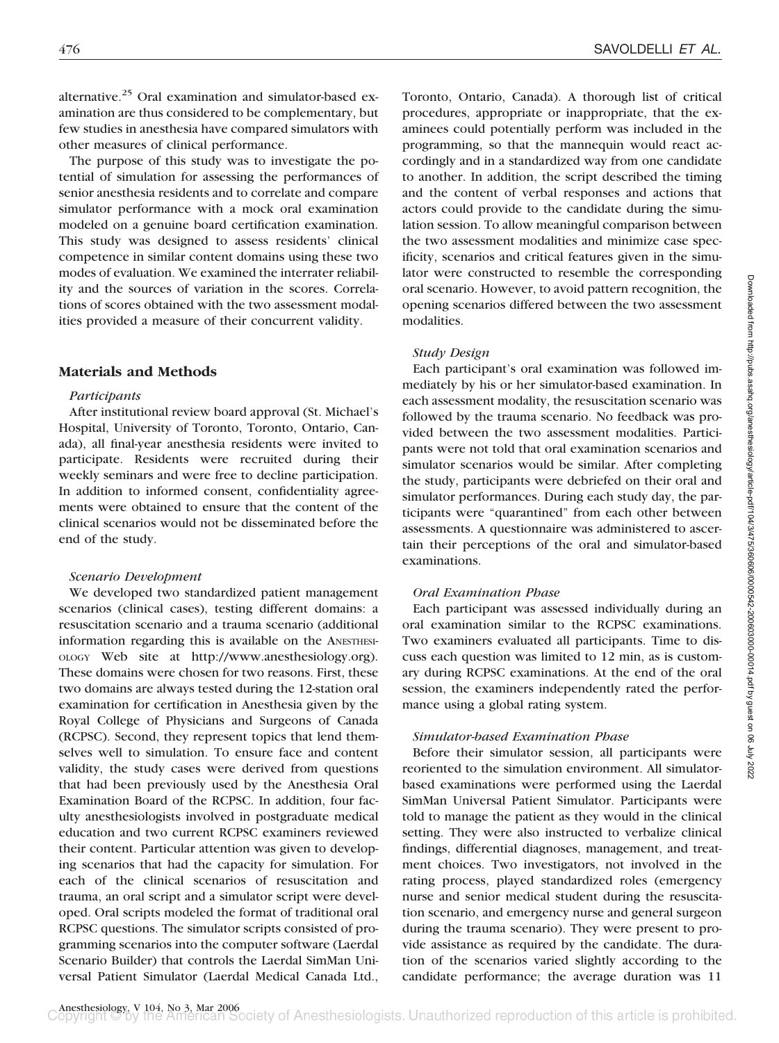alternative.25 Oral examination and simulator-based examination are thus considered to be complementary, but few studies in anesthesia have compared simulators with other measures of clinical performance.

The purpose of this study was to investigate the potential of simulation for assessing the performances of senior anesthesia residents and to correlate and compare simulator performance with a mock oral examination modeled on a genuine board certification examination. This study was designed to assess residents' clinical competence in similar content domains using these two modes of evaluation. We examined the interrater reliability and the sources of variation in the scores. Correlations of scores obtained with the two assessment modalities provided a measure of their concurrent validity.

## **Materials and Methods**

#### *Participants*

After institutional review board approval (St. Michael's Hospital, University of Toronto, Toronto, Ontario, Canada), all final-year anesthesia residents were invited to participate. Residents were recruited during their weekly seminars and were free to decline participation. In addition to informed consent, confidentiality agreements were obtained to ensure that the content of the clinical scenarios would not be disseminated before the end of the study.

#### *Scenario Development*

We developed two standardized patient management scenarios (clinical cases), testing different domains: a resuscitation scenario and a trauma scenario (additional information regarding this is available on the ANESTHESI-OLOGY Web site at http://www.anesthesiology.org). These domains were chosen for two reasons. First, these two domains are always tested during the 12-station oral examination for certification in Anesthesia given by the Royal College of Physicians and Surgeons of Canada (RCPSC). Second, they represent topics that lend themselves well to simulation. To ensure face and content validity, the study cases were derived from questions that had been previously used by the Anesthesia Oral Examination Board of the RCPSC. In addition, four faculty anesthesiologists involved in postgraduate medical education and two current RCPSC examiners reviewed their content. Particular attention was given to developing scenarios that had the capacity for simulation. For each of the clinical scenarios of resuscitation and trauma, an oral script and a simulator script were developed. Oral scripts modeled the format of traditional oral RCPSC questions. The simulator scripts consisted of programming scenarios into the computer software (Laerdal Scenario Builder) that controls the Laerdal SimMan Universal Patient Simulator (Laerdal Medical Canada Ltd.,

Toronto, Ontario, Canada). A thorough list of critical procedures, appropriate or inappropriate, that the examinees could potentially perform was included in the programming, so that the mannequin would react accordingly and in a standardized way from one candidate to another. In addition, the script described the timing and the content of verbal responses and actions that actors could provide to the candidate during the simulation session. To allow meaningful comparison between the two assessment modalities and minimize case specificity, scenarios and critical features given in the simulator were constructed to resemble the corresponding oral scenario. However, to avoid pattern recognition, the opening scenarios differed between the two assessment modalities.

#### *Study Design*

Each participant's oral examination was followed immediately by his or her simulator-based examination. In each assessment modality, the resuscitation scenario was followed by the trauma scenario. No feedback was provided between the two assessment modalities. Participants were not told that oral examination scenarios and simulator scenarios would be similar. After completing the study, participants were debriefed on their oral and simulator performances. During each study day, the participants were "quarantined" from each other between assessments. A questionnaire was administered to ascertain their perceptions of the oral and simulator-based examinations.

#### *Oral Examination Phase*

Each participant was assessed individually during an oral examination similar to the RCPSC examinations. Two examiners evaluated all participants. Time to discuss each question was limited to 12 min, as is customary during RCPSC examinations. At the end of the oral session, the examiners independently rated the performance using a global rating system.

#### *Simulator-based Examination Phase*

Before their simulator session, all participants were reoriented to the simulation environment. All simulatorbased examinations were performed using the Laerdal SimMan Universal Patient Simulator. Participants were told to manage the patient as they would in the clinical setting. They were also instructed to verbalize clinical findings, differential diagnoses, management, and treatment choices. Two investigators, not involved in the rating process, played standardized roles (emergency nurse and senior medical student during the resuscitation scenario, and emergency nurse and general surgeon during the trauma scenario). They were present to provide assistance as required by the candidate. The duration of the scenarios varied slightly according to the candidate performance; the average duration was 11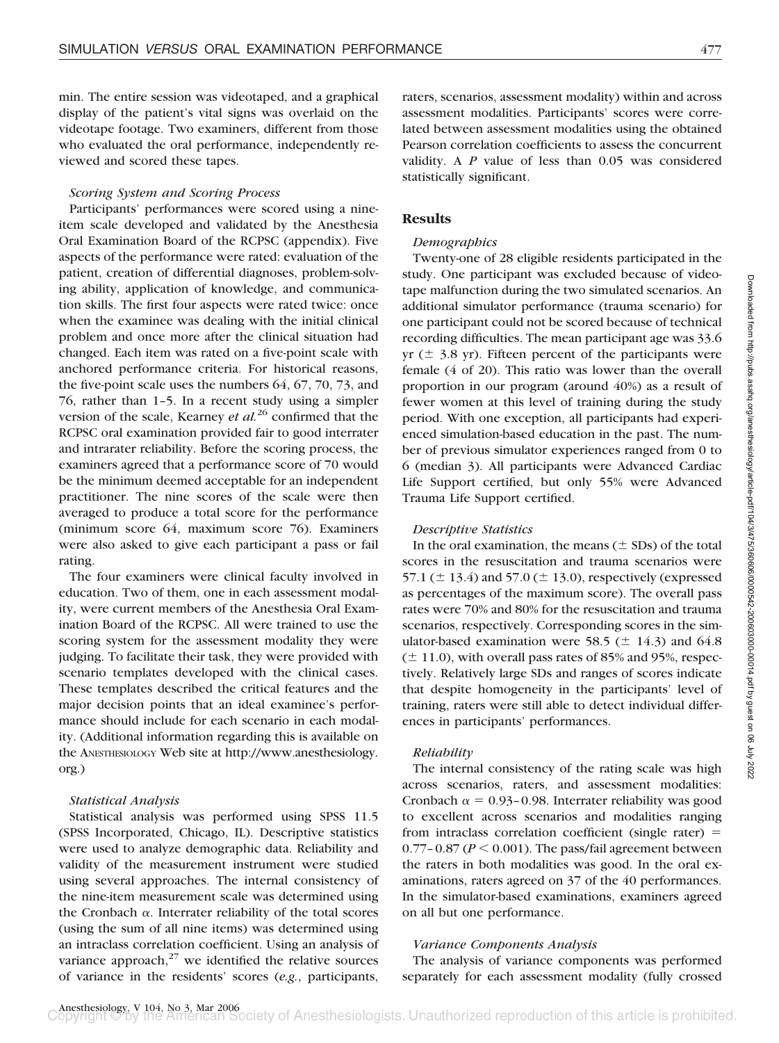min. The entire session was videotaped, and a graphical display of the patient's vital signs was overlaid on the videotape footage. Two examiners, different from those who evaluated the oral performance, independently reviewed and scored these tapes.

## *Scoring System and Scoring Process*

Participants' performances were scored using a nineitem scale developed and validated by the Anesthesia Oral Examination Board of the RCPSC (appendix). Five aspects of the performance were rated: evaluation of the patient, creation of differential diagnoses, problem-solving ability, application of knowledge, and communication skills. The first four aspects were rated twice: once when the examinee was dealing with the initial clinical problem and once more after the clinical situation had changed. Each item was rated on a five-point scale with anchored performance criteria. For historical reasons, the five-point scale uses the numbers 64, 67, 70, 73, and 76, rather than 1–5. In a recent study using a simpler version of the scale, Kearney *et al.*<sup>26</sup> confirmed that the RCPSC oral examination provided fair to good interrater and intrarater reliability. Before the scoring process, the examiners agreed that a performance score of 70 would be the minimum deemed acceptable for an independent practitioner. The nine scores of the scale were then averaged to produce a total score for the performance (minimum score 64, maximum score 76). Examiners were also asked to give each participant a pass or fail rating.

The four examiners were clinical faculty involved in education. Two of them, one in each assessment modality, were current members of the Anesthesia Oral Examination Board of the RCPSC. All were trained to use the scoring system for the assessment modality they were judging. To facilitate their task, they were provided with scenario templates developed with the clinical cases. These templates described the critical features and the major decision points that an ideal examinee's performance should include for each scenario in each modality. (Additional information regarding this is available on the ANESTHESIOLOGY Web site at http://www.anesthesiology. org.)

#### *Statistical Analysis*

Statistical analysis was performed using SPSS 11.5 (SPSS Incorporated, Chicago, IL). Descriptive statistics were used to analyze demographic data. Reliability and validity of the measurement instrument were studied using several approaches. The internal consistency of the nine-item measurement scale was determined using the Cronbach  $\alpha$ . Interrater reliability of the total scores (using the sum of all nine items) was determined using an intraclass correlation coefficient. Using an analysis of variance approach, $27$  we identified the relative sources of variance in the residents' scores (*e.g.*, participants,

raters, scenarios, assessment modality) within and across assessment modalities. Participants' scores were correlated between assessment modalities using the obtained Pearson correlation coefficients to assess the concurrent validity. A *P* value of less than 0.05 was considered statistically significant.

# **Results**

# *Demographics*

Twenty-one of 28 eligible residents participated in the study. One participant was excluded because of videotape malfunction during the two simulated scenarios. An additional simulator performance (trauma scenario) for one participant could not be scored because of technical recording difficulties. The mean participant age was 33.6 yr  $(\pm 3.8 \text{ yr})$ . Fifteen percent of the participants were female (4 of 20). This ratio was lower than the overall proportion in our program (around 40%) as a result of fewer women at this level of training during the study period. With one exception, all participants had experienced simulation-based education in the past. The number of previous simulator experiences ranged from 0 to 6 (median 3). All participants were Advanced Cardiac Life Support certified, but only 55% were Advanced Trauma Life Support certified.

# *Descriptive Statistics*

In the oral examination, the means  $(\pm SDs)$  of the total scores in the resuscitation and trauma scenarios were 57.1 ( $\pm$  13.4) and 57.0 ( $\pm$  13.0), respectively (expressed as percentages of the maximum score). The overall pass rates were 70% and 80% for the resuscitation and trauma scenarios, respectively. Corresponding scores in the simulator-based examination were 58.5 ( $\pm$  14.3) and 64.8  $(\pm 11.0)$ , with overall pass rates of 85% and 95%, respectively. Relatively large SDs and ranges of scores indicate that despite homogeneity in the participants' level of training, raters were still able to detect individual differences in participants' performances.

# *Reliability*

The internal consistency of the rating scale was high across scenarios, raters, and assessment modalities: Cronbach  $\alpha = 0.93 - 0.98$ . Interrater reliability was good to excellent across scenarios and modalities ranging from intraclass correlation coefficient (single rater)  $=$  $0.77 - 0.87$  ( $P \le 0.001$ ). The pass/fail agreement between the raters in both modalities was good. In the oral examinations, raters agreed on 37 of the 40 performances. In the simulator-based examinations, examiners agreed on all but one performance.

#### *Variance Components Analysis*

The analysis of variance components was performed separately for each assessment modality (fully crossed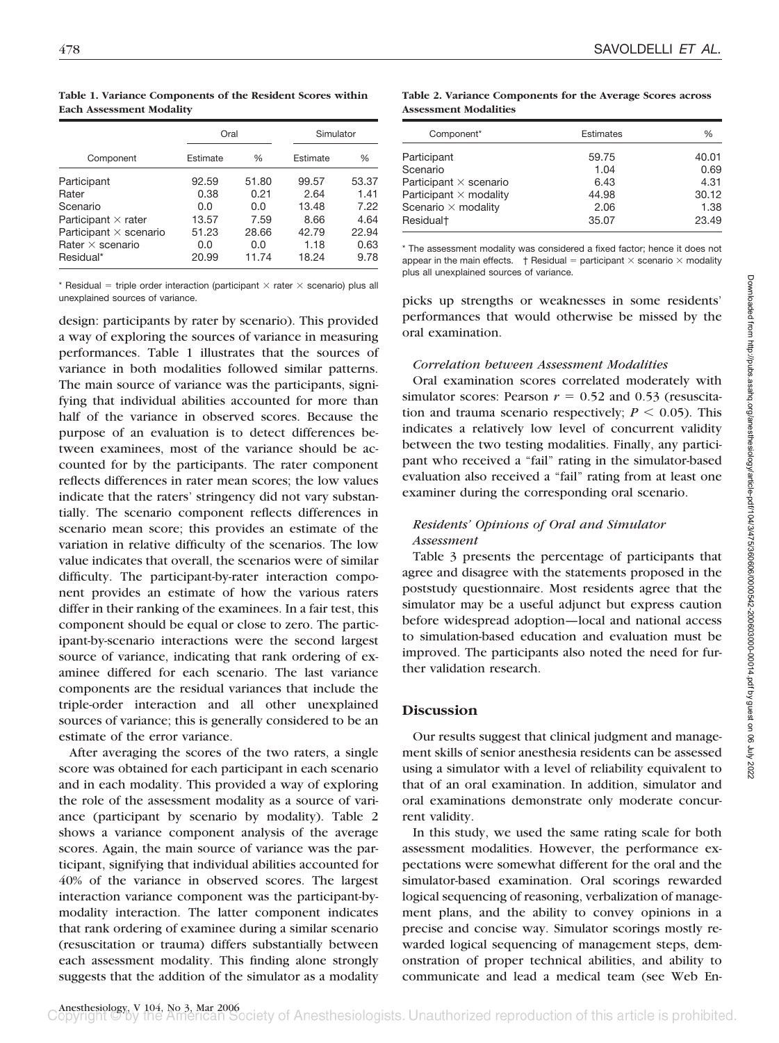| Table 1. Variance Components of the Resident Scores within |  |
|------------------------------------------------------------|--|
| Each Assessment Modality                                   |  |

|                               | Oral     |       | Simulator |       |
|-------------------------------|----------|-------|-----------|-------|
| Component                     | Estimate | ℅     | Estimate  | ℅     |
| Participant                   | 92.59    | 51.80 | 99.57     | 53.37 |
| Rater                         | 0.38     | 0.21  | 2.64      | 1.41  |
| Scenario                      | 0.0      | 0.0   | 13.48     | 7.22  |
| Participant $\times$ rater    | 13.57    | 7.59  | 8.66      | 4.64  |
| Participant $\times$ scenario | 51.23    | 28.66 | 42.79     | 22.94 |
| Rater $\times$ scenario       | 0.0      | 0.O   | 1.18      | 0.63  |
| Residual*                     | 20.99    | 11.74 | 18.24     | 9.78  |

\* Residual = triple order interaction (participant  $\times$  rater  $\times$  scenario) plus all unexplained sources of variance.

design: participants by rater by scenario). This provided a way of exploring the sources of variance in measuring performances. Table 1 illustrates that the sources of variance in both modalities followed similar patterns. The main source of variance was the participants, signifying that individual abilities accounted for more than half of the variance in observed scores. Because the purpose of an evaluation is to detect differences between examinees, most of the variance should be accounted for by the participants. The rater component reflects differences in rater mean scores; the low values indicate that the raters' stringency did not vary substantially. The scenario component reflects differences in scenario mean score; this provides an estimate of the variation in relative difficulty of the scenarios. The low value indicates that overall, the scenarios were of similar difficulty. The participant-by-rater interaction component provides an estimate of how the various raters differ in their ranking of the examinees. In a fair test, this component should be equal or close to zero. The participant-by-scenario interactions were the second largest source of variance, indicating that rank ordering of examinee differed for each scenario. The last variance components are the residual variances that include the triple-order interaction and all other unexplained sources of variance; this is generally considered to be an estimate of the error variance.

After averaging the scores of the two raters, a single score was obtained for each participant in each scenario and in each modality. This provided a way of exploring the role of the assessment modality as a source of variance (participant by scenario by modality). Table 2 shows a variance component analysis of the average scores. Again, the main source of variance was the participant, signifying that individual abilities accounted for 40% of the variance in observed scores. The largest interaction variance component was the participant-bymodality interaction. The latter component indicates that rank ordering of examinee during a similar scenario (resuscitation or trauma) differs substantially between each assessment modality. This finding alone strongly suggests that the addition of the simulator as a modality

**Table 2. Variance Components for the Average Scores across Assessment Modalities**

| Component <sup>*</sup>        | <b>Estimates</b> | $\%$  |
|-------------------------------|------------------|-------|
| Participant                   | 59.75            | 40.01 |
| Scenario                      | 1.04             | 0.69  |
| Participant $\times$ scenario | 6.43             | 4.31  |
| Participant $\times$ modality | 44.98            | 30.12 |
| Scenario $\times$ modality    | 2.06             | 1.38  |
| Residual†                     | 35.07            | 23.49 |
|                               |                  |       |

\* The assessment modality was considered a fixed factor; hence it does not appear in the main effects.  $\dagger$  Residual = participant  $\times$  scenario  $\times$  modality plus all unexplained sources of variance.

picks up strengths or weaknesses in some residents' performances that would otherwise be missed by the oral examination.

## *Correlation between Assessment Modalities*

Oral examination scores correlated moderately with simulator scores: Pearson  $r = 0.52$  and 0.53 (resuscitation and trauma scenario respectively;  $P \leq 0.05$ ). This indicates a relatively low level of concurrent validity between the two testing modalities. Finally, any participant who received a "fail" rating in the simulator-based evaluation also received a "fail" rating from at least one examiner during the corresponding oral scenario.

# *Residents' Opinions of Oral and Simulator Assessment*

Table 3 presents the percentage of participants that agree and disagree with the statements proposed in the poststudy questionnaire. Most residents agree that the simulator may be a useful adjunct but express caution before widespread adoption—local and national access to simulation-based education and evaluation must be improved. The participants also noted the need for further validation research.

# **Discussion**

Our results suggest that clinical judgment and management skills of senior anesthesia residents can be assessed using a simulator with a level of reliability equivalent to that of an oral examination. In addition, simulator and oral examinations demonstrate only moderate concurrent validity.

In this study, we used the same rating scale for both assessment modalities. However, the performance expectations were somewhat different for the oral and the simulator-based examination. Oral scorings rewarded logical sequencing of reasoning, verbalization of management plans, and the ability to convey opinions in a precise and concise way. Simulator scorings mostly rewarded logical sequencing of management steps, demonstration of proper technical abilities, and ability to communicate and lead a medical team (see Web En-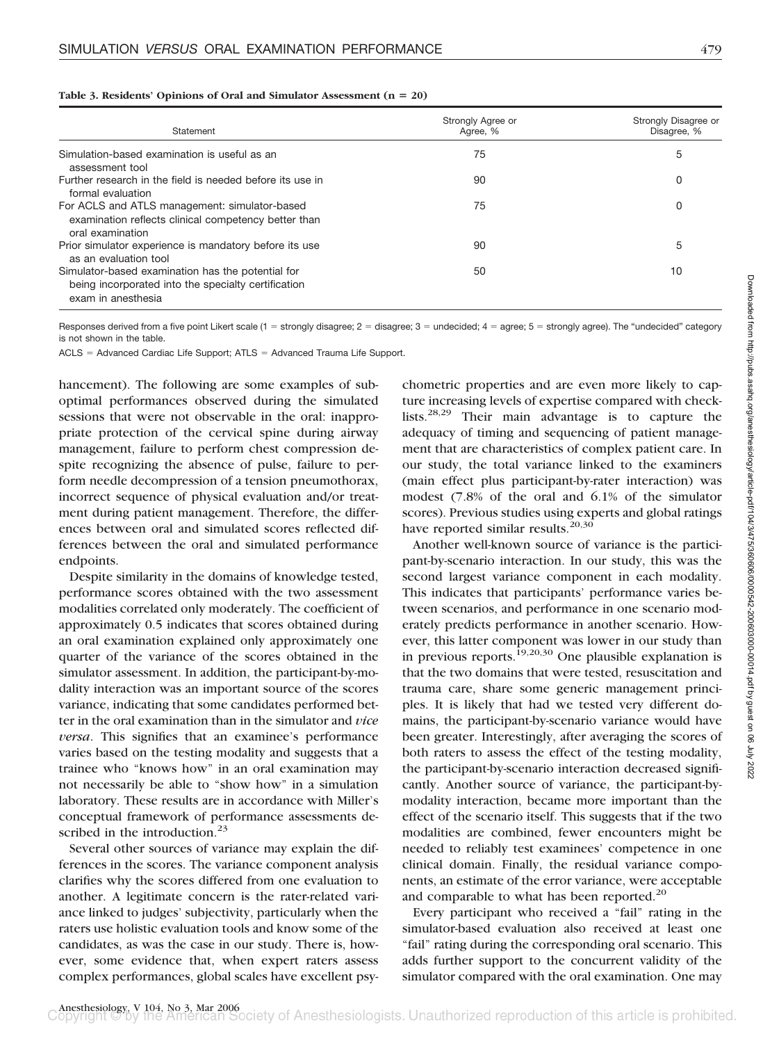| Statement                                                                                                                      | Strongly Agree or<br>Agree, % | Strongly Disagree or<br>Disagree, % |
|--------------------------------------------------------------------------------------------------------------------------------|-------------------------------|-------------------------------------|
| Simulation-based examination is useful as an<br>assessment tool                                                                | 75                            | 5                                   |
| Further research in the field is needed before its use in<br>formal evaluation                                                 | 90                            | 0                                   |
| For ACLS and ATLS management: simulator-based<br>examination reflects clinical competency better than<br>oral examination      | 75                            | 0                                   |
| Prior simulator experience is mandatory before its use<br>as an evaluation tool                                                | 90                            | 5                                   |
| Simulator-based examination has the potential for<br>being incorporated into the specialty certification<br>exam in anesthesia | 50                            | 10                                  |

#### **Table 3. Residents' Opinions of Oral and Simulator Assessment (n 20)**

Responses derived from a five point Likert scale (1 = strongly disagree; 2 = disagree; 3 = undecided; 4 = agree; 5 = strongly agree). The "undecided" category is not shown in the table.

ACLS = Advanced Cardiac Life Support; ATLS = Advanced Trauma Life Support.

hancement). The following are some examples of suboptimal performances observed during the simulated sessions that were not observable in the oral: inappropriate protection of the cervical spine during airway management, failure to perform chest compression despite recognizing the absence of pulse, failure to perform needle decompression of a tension pneumothorax, incorrect sequence of physical evaluation and/or treatment during patient management. Therefore, the differences between oral and simulated scores reflected differences between the oral and simulated performance endpoints.

Despite similarity in the domains of knowledge tested, performance scores obtained with the two assessment modalities correlated only moderately. The coefficient of approximately 0.5 indicates that scores obtained during an oral examination explained only approximately one quarter of the variance of the scores obtained in the simulator assessment. In addition, the participant-by-modality interaction was an important source of the scores variance, indicating that some candidates performed better in the oral examination than in the simulator and *vice versa*. This signifies that an examinee's performance varies based on the testing modality and suggests that a trainee who "knows how" in an oral examination may not necessarily be able to "show how" in a simulation laboratory. These results are in accordance with Miller's conceptual framework of performance assessments described in the introduction. $^{23}$ 

Several other sources of variance may explain the differences in the scores. The variance component analysis clarifies why the scores differed from one evaluation to another. A legitimate concern is the rater-related variance linked to judges' subjectivity, particularly when the raters use holistic evaluation tools and know some of the candidates, as was the case in our study. There is, however, some evidence that, when expert raters assess complex performances, global scales have excellent psy-

chometric properties and are even more likely to capture increasing levels of expertise compared with checklists.28,29 Their main advantage is to capture the adequacy of timing and sequencing of patient management that are characteristics of complex patient care. In our study, the total variance linked to the examiners (main effect plus participant-by-rater interaction) was modest (7.8% of the oral and 6.1% of the simulator scores). Previous studies using experts and global ratings have reported similar results.<sup>20,30</sup>

Another well-known source of variance is the participant-by-scenario interaction. In our study, this was the second largest variance component in each modality. This indicates that participants' performance varies between scenarios, and performance in one scenario moderately predicts performance in another scenario. However, this latter component was lower in our study than in previous reports.<sup>19,20,30</sup> One plausible explanation is that the two domains that were tested, resuscitation and trauma care, share some generic management principles. It is likely that had we tested very different domains, the participant-by-scenario variance would have been greater. Interestingly, after averaging the scores of both raters to assess the effect of the testing modality, the participant-by-scenario interaction decreased significantly. Another source of variance, the participant-bymodality interaction, became more important than the effect of the scenario itself. This suggests that if the two modalities are combined, fewer encounters might be needed to reliably test examinees' competence in one clinical domain. Finally, the residual variance components, an estimate of the error variance, were acceptable and comparable to what has been reported.<sup>20</sup>

Every participant who received a "fail" rating in the simulator-based evaluation also received at least one "fail" rating during the corresponding oral scenario. This adds further support to the concurrent validity of the simulator compared with the oral examination. One may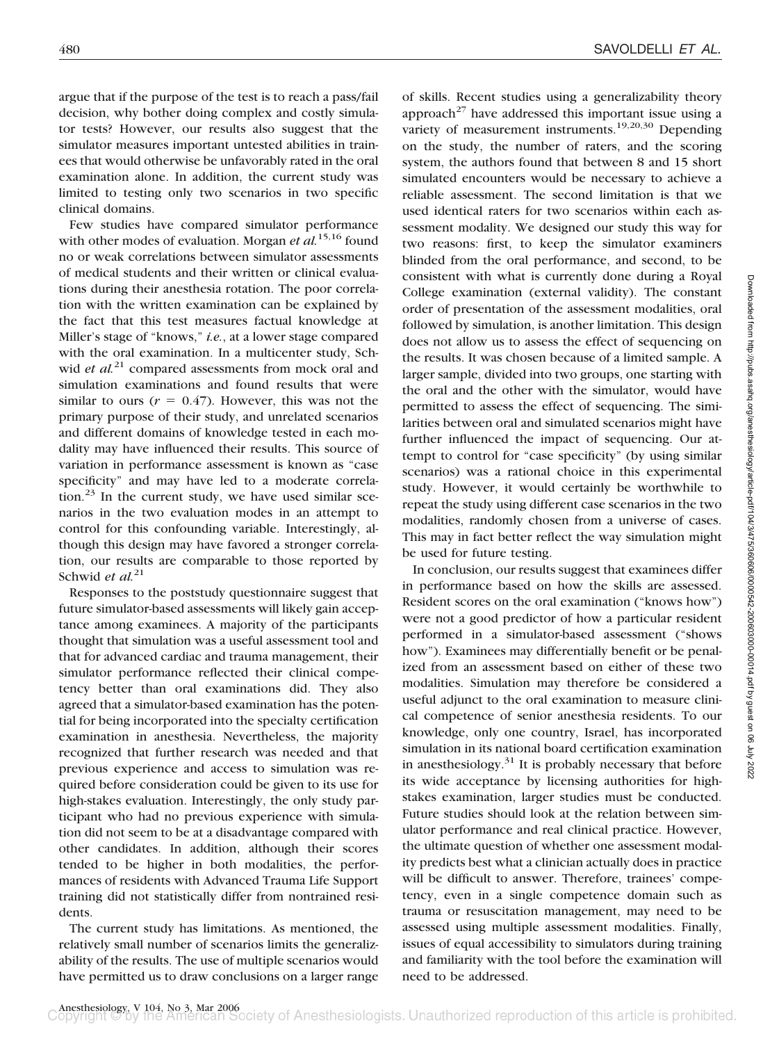argue that if the purpose of the test is to reach a pass/fail decision, why bother doing complex and costly simulator tests? However, our results also suggest that the simulator measures important untested abilities in trainees that would otherwise be unfavorably rated in the oral examination alone. In addition, the current study was limited to testing only two scenarios in two specific clinical domains.

Few studies have compared simulator performance with other modes of evaluation. Morgan *et al.*<sup>15,16</sup> found no or weak correlations between simulator assessments of medical students and their written or clinical evaluations during their anesthesia rotation. The poor correlation with the written examination can be explained by the fact that this test measures factual knowledge at Miller's stage of "knows," *i.e.*, at a lower stage compared with the oral examination. In a multicenter study, Schwid *et al.*<sup>21</sup> compared assessments from mock oral and simulation examinations and found results that were similar to ours  $(r = 0.47)$ . However, this was not the primary purpose of their study, and unrelated scenarios and different domains of knowledge tested in each modality may have influenced their results. This source of variation in performance assessment is known as "case specificity" and may have led to a moderate correlation.<sup>23</sup> In the current study, we have used similar scenarios in the two evaluation modes in an attempt to control for this confounding variable. Interestingly, although this design may have favored a stronger correlation, our results are comparable to those reported by Schwid et al.<sup>21</sup>

Responses to the poststudy questionnaire suggest that future simulator-based assessments will likely gain acceptance among examinees. A majority of the participants thought that simulation was a useful assessment tool and that for advanced cardiac and trauma management, their simulator performance reflected their clinical competency better than oral examinations did. They also agreed that a simulator-based examination has the potential for being incorporated into the specialty certification examination in anesthesia. Nevertheless, the majority recognized that further research was needed and that previous experience and access to simulation was required before consideration could be given to its use for high-stakes evaluation. Interestingly, the only study participant who had no previous experience with simulation did not seem to be at a disadvantage compared with other candidates. In addition, although their scores tended to be higher in both modalities, the performances of residents with Advanced Trauma Life Support training did not statistically differ from nontrained residents.

The current study has limitations. As mentioned, the relatively small number of scenarios limits the generalizability of the results. The use of multiple scenarios would have permitted us to draw conclusions on a larger range

of skills. Recent studies using a generalizability theory approach<sup>27</sup> have addressed this important issue using a variety of measurement instruments.<sup>19,20,30</sup> Depending on the study, the number of raters, and the scoring system, the authors found that between 8 and 15 short simulated encounters would be necessary to achieve a reliable assessment. The second limitation is that we used identical raters for two scenarios within each assessment modality. We designed our study this way for two reasons: first, to keep the simulator examiners blinded from the oral performance, and second, to be consistent with what is currently done during a Royal College examination (external validity). The constant order of presentation of the assessment modalities, oral followed by simulation, is another limitation. This design does not allow us to assess the effect of sequencing on the results. It was chosen because of a limited sample. A larger sample, divided into two groups, one starting with the oral and the other with the simulator, would have permitted to assess the effect of sequencing. The similarities between oral and simulated scenarios might have further influenced the impact of sequencing. Our attempt to control for "case specificity" (by using similar scenarios) was a rational choice in this experimental study. However, it would certainly be worthwhile to repeat the study using different case scenarios in the two modalities, randomly chosen from a universe of cases. This may in fact better reflect the way simulation might be used for future testing.

In conclusion, our results suggest that examinees differ in performance based on how the skills are assessed. Resident scores on the oral examination ("knows how") were not a good predictor of how a particular resident performed in a simulator-based assessment ("shows how"). Examinees may differentially benefit or be penalized from an assessment based on either of these two modalities. Simulation may therefore be considered a useful adjunct to the oral examination to measure clinical competence of senior anesthesia residents. To our knowledge, only one country, Israel, has incorporated simulation in its national board certification examination in anesthesiology. $31$  It is probably necessary that before its wide acceptance by licensing authorities for highstakes examination, larger studies must be conducted. Future studies should look at the relation between simulator performance and real clinical practice. However, the ultimate question of whether one assessment modality predicts best what a clinician actually does in practice will be difficult to answer. Therefore, trainees' competency, even in a single competence domain such as trauma or resuscitation management, may need to be assessed using multiple assessment modalities. Finally, issues of equal accessibility to simulators during training and familiarity with the tool before the examination will need to be addressed.